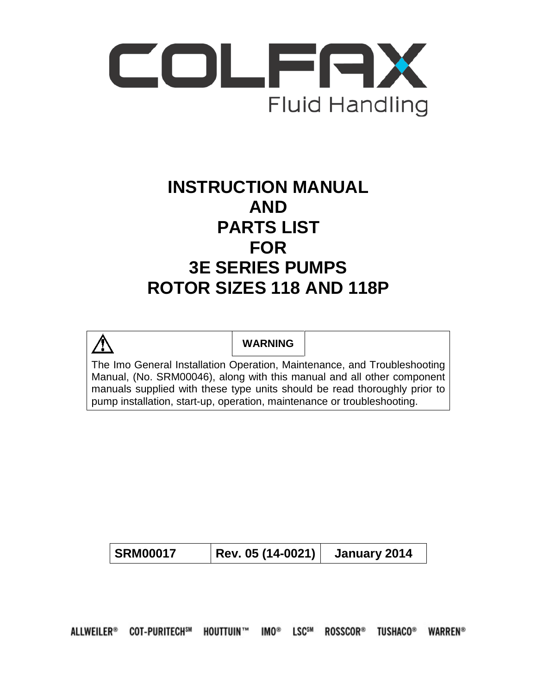

# **INSTRUCTION MANUAL AND PARTS LIST FOR 3E SERIES PUMPS ROTOR SIZES 118 AND 118P**



**WARNING**

The Imo General Installation Operation, Maintenance, and Troubleshooting Manual, (No. SRM00046), along with this manual and all other component manuals supplied with these type units should be read thoroughly prior to pump installation, start-up, operation, maintenance or troubleshooting.

ALLWEILER® COT-PURITECH<sup>SM</sup> HOUTTUIN™ IMO® LSC<sup>SM</sup> ROSSCOR® TUSHACO® **WARREN®**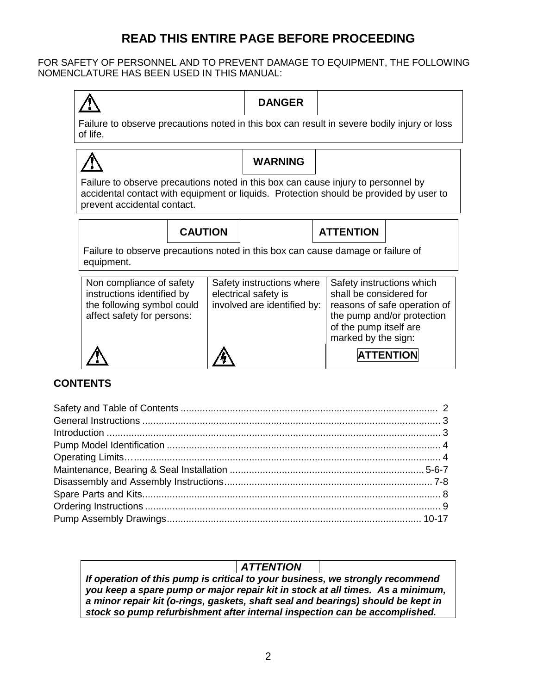# **READ THIS ENTIRE PAGE BEFORE PROCEEDING**

FOR SAFETY OF PERSONNEL AND TO PREVENT DAMAGE TO EQUIPMENT, THE FOLLOWING NOMENCLATURE HAS BEEN USED IN THIS MANUAL:



# **DANGER**

Failure to observe precautions noted in this box can result in severe bodily injury or loss of life.

# **WARNING**

Failure to observe precautions noted in this box can cause injury to personnel by accidental contact with equipment or liquids. Protection should be provided by user to prevent accidental contact.

| <b>CAUTION</b> |
|----------------|
|                |



Failure to observe precautions noted in this box can cause damage or failure of equipment.

| Non compliance of safety   | Safety instructions where   | Safety instructions which    |
|----------------------------|-----------------------------|------------------------------|
| instructions identified by | electrical safety is        | shall be considered for      |
| the following symbol could | involved are identified by: | reasons of safe operation of |
|                            |                             |                              |
| affect safety for persons: |                             | the pump and/or protection   |
|                            |                             | of the pump itself are       |
|                            |                             | marked by the sign:          |
|                            |                             |                              |
|                            |                             | <b>ATTENTION</b>             |
|                            |                             |                              |
|                            |                             |                              |

# **CONTENTS**

# *ATTENTION*

*If operation of this pump is critical to your business, we strongly recommend you keep a spare pump or major repair kit in stock at all times. As a minimum, a minor repair kit (o-rings, gaskets, shaft seal and bearings) should be kept in stock so pump refurbishment after internal inspection can be accomplished.*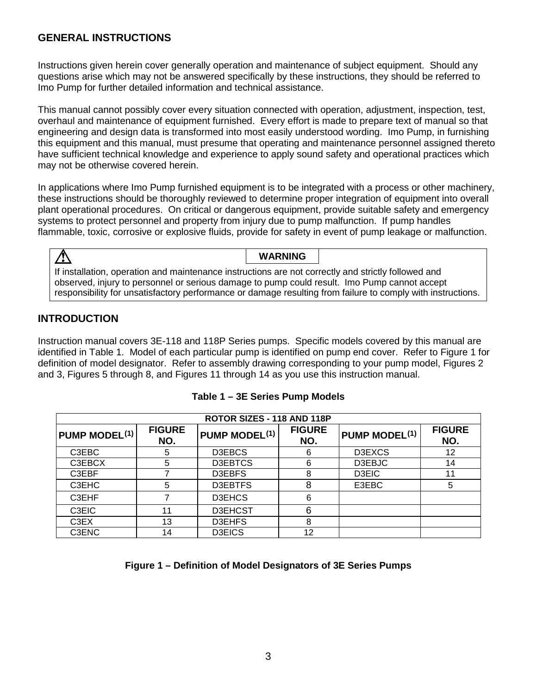### **GENERAL INSTRUCTIONS**

Instructions given herein cover generally operation and maintenance of subject equipment. Should any questions arise which may not be answered specifically by these instructions, they should be referred to Imo Pump for further detailed information and technical assistance.

This manual cannot possibly cover every situation connected with operation, adjustment, inspection, test, overhaul and maintenance of equipment furnished. Every effort is made to prepare text of manual so that engineering and design data is transformed into most easily understood wording. Imo Pump, in furnishing this equipment and this manual, must presume that operating and maintenance personnel assigned thereto have sufficient technical knowledge and experience to apply sound safety and operational practices which may not be otherwise covered herein.

In applications where Imo Pump furnished equipment is to be integrated with a process or other machinery, these instructions should be thoroughly reviewed to determine proper integration of equipment into overall plant operational procedures. On critical or dangerous equipment, provide suitable safety and emergency systems to protect personnel and property from injury due to pump malfunction. If pump handles flammable, toxic, corrosive or explosive fluids, provide for safety in event of pump leakage or malfunction.

**WARNING**  $\Lambda$ If installation, operation and maintenance instructions are not correctly and strictly followed and observed, injury to personnel or serious damage to pump could result. Imo Pump cannot accept responsibility for unsatisfactory performance or damage resulting from failure to comply with instructions.

# **INTRODUCTION**

Instruction manual covers 3E-118 and 118P Series pumps. Specific models covered by this manual are identified in Table 1. Model of each particular pump is identified on pump end cover. Refer to Figure 1 for definition of model designator. Refer to assembly drawing corresponding to your pump model, Figures 2 and 3, Figures 5 through 8, and Figures 11 through 14 as you use this instruction manual.

| ROTOR SIZES - 118 AND 118P |                      |                           |                      |                      |                      |
|----------------------------|----------------------|---------------------------|----------------------|----------------------|----------------------|
| <b>PUMP MODEL(1)</b>       | <b>FIGURE</b><br>NO. | PUMP MODEL <sup>(1)</sup> | <b>FIGURE</b><br>NO. | <b>PUMP MODEL(1)</b> | <b>FIGURE</b><br>NO. |
| C3EBC                      | 5                    | D3EBCS                    | 6                    | D3EXCS               | 12                   |
| C3EBCX                     | 5                    | D3EBTCS                   | 6                    | D3EBJC               | 14                   |
| C3EBF                      |                      | D3EBFS                    | 8                    | D3EIC                | 11                   |
| C3EHC                      | 5                    | D3EBTFS                   | 8                    | E3EBC                | 5                    |
| C3EHF                      |                      | <b>D3EHCS</b>             | 6                    |                      |                      |
| C3EIC                      | 11                   | D3EHCST                   | 6                    |                      |                      |
| C3EX                       | 13                   | D3EHFS                    | 8                    |                      |                      |
| C3ENC                      | 14                   | <b>D3EICS</b>             | 12                   |                      |                      |

#### **Table 1 – 3E Series Pump Models**

#### **Figure 1 – Definition of Model Designators of 3E Series Pumps**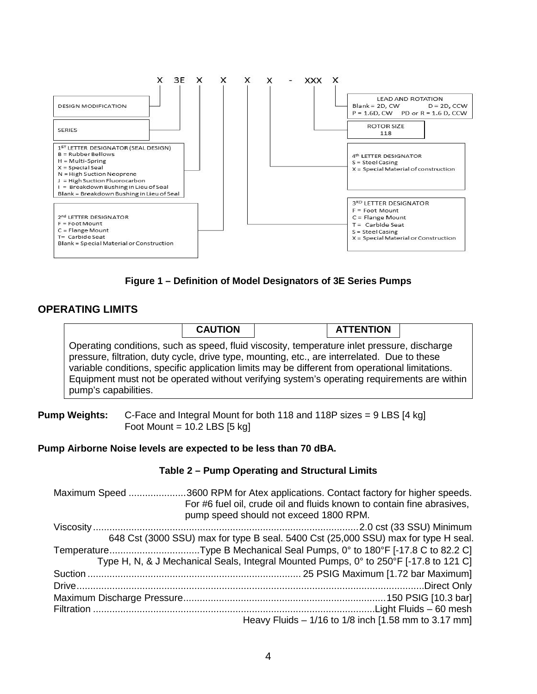

**Figure 1 – Definition of Model Designators of 3E Series Pumps**

### **OPERATING LIMITS**

|                                                                                                                                                                                                                                                                                                                                                                                                                       | <b>CAUTION</b> | <b>ATTENTION</b> |  |
|-----------------------------------------------------------------------------------------------------------------------------------------------------------------------------------------------------------------------------------------------------------------------------------------------------------------------------------------------------------------------------------------------------------------------|----------------|------------------|--|
| Operating conditions, such as speed, fluid viscosity, temperature inlet pressure, discharge<br>pressure, filtration, duty cycle, drive type, mounting, etc., are interrelated. Due to these<br>variable conditions, specific application limits may be different from operational limitations.<br>Equipment must not be operated without verifying system's operating requirements are within<br>pump's capabilities. |                |                  |  |

**Pump Weights:** C-Face and Integral Mount for both 118 and 118P sizes = 9 LBS [4 kg] Foot Mount =  $10.2$  LBS [5 kg]

#### **Pump Airborne Noise levels are expected to be less than 70 dBA.**

#### **Table 2 – Pump Operating and Structural Limits**

Maximum Speed .....................3600 RPM for Atex applications. Contact factory for higher speeds. For #6 fuel oil, crude oil and fluids known to contain fine abrasives, pump speed should not exceed 1800 RPM. Viscosity .................................................................................................2.0 cst (33 SSU) Minimum 648 Cst (3000 SSU) max for type B seal. 5400 Cst (25,000 SSU) max for type H seal. Temperature.................................Type B Mechanical Seal Pumps, 0° to 180°F [-17.8 C to 82.2 C] Type H, N, & J Mechanical Seals, Integral Mounted Pumps, 0° to 250°F [-17.8 to 121 C] Suction .............................................................................. 25 PSIG Maximum [1.72 bar Maximum] Drive...............................................................................................................................Direct Only Maximum Discharge Pressure..........................................................................150 PSIG [10.3 bar] Filtration .......................................................................................................Light Fluids – 60 mesh Heavy Fluids – 1/16 to 1/8 inch [1.58 mm to 3.17 mm]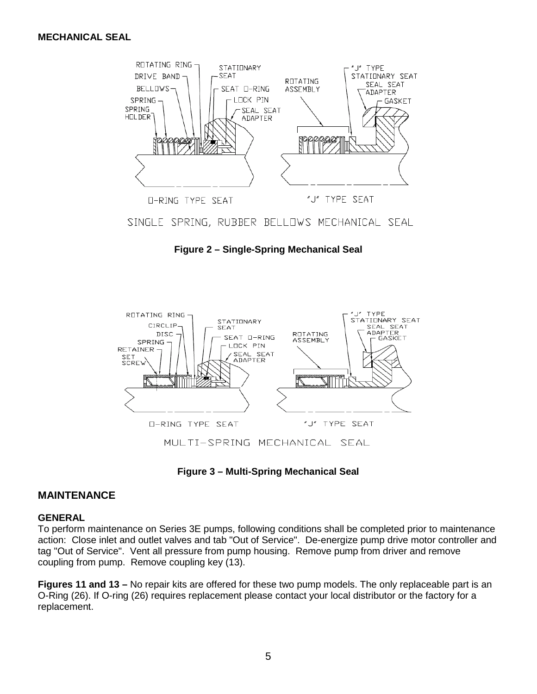

SINGLE SPRING, RUBBER BELLOWS MECHANICAL SEAL

**Figure 2 – Single-Spring Mechanical Seal**



**Figure 3 – Multi-Spring Mechanical Seal**

#### **MAINTENANCE**

#### **GENERAL**

To perform maintenance on Series 3E pumps, following conditions shall be completed prior to maintenance action: Close inlet and outlet valves and tab "Out of Service". De-energize pump drive motor controller and tag "Out of Service". Vent all pressure from pump housing. Remove pump from driver and remove coupling from pump. Remove coupling key (13).

**Figures 11 and 13 –** No repair kits are offered for these two pump models. The only replaceable part is an O-Ring (26). If O-ring (26) requires replacement please contact your local distributor or the factory for a replacement.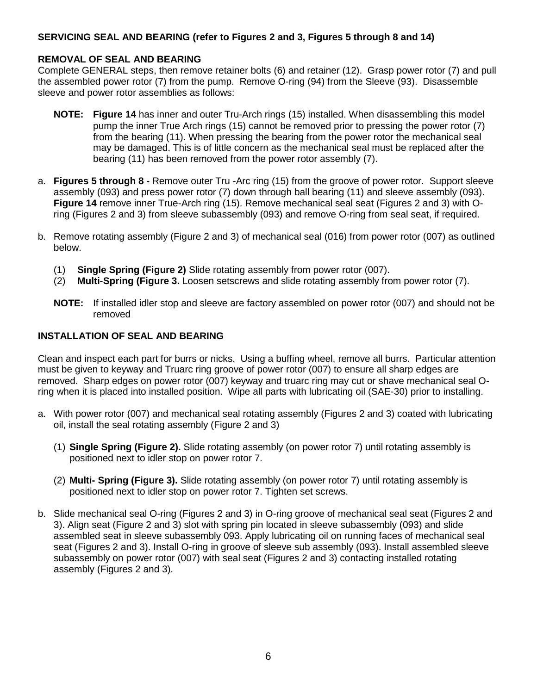#### **SERVICING SEAL AND BEARING (refer to Figures 2 and 3, Figures 5 through 8 and 14)**

#### **REMOVAL OF SEAL AND BEARING**

Complete GENERAL steps, then remove retainer bolts (6) and retainer (12). Grasp power rotor (7) and pull the assembled power rotor (7) from the pump. Remove O-ring (94) from the Sleeve (93). Disassemble sleeve and power rotor assemblies as follows:

- **NOTE: Figure 14** has inner and outer Tru-Arch rings (15) installed. When disassembling this model pump the inner True Arch rings (15) cannot be removed prior to pressing the power rotor (7) from the bearing (11). When pressing the bearing from the power rotor the mechanical seal may be damaged. This is of little concern as the mechanical seal must be replaced after the bearing (11) has been removed from the power rotor assembly (7).
- a. **Figures 5 through 8 -** Remove outer Tru -Arc ring (15) from the groove of power rotor. Support sleeve assembly (093) and press power rotor (7) down through ball bearing (11) and sleeve assembly (093). **Figure 14** remove inner True-Arch ring (15). Remove mechanical seal seat (Figures 2 and 3) with Oring (Figures 2 and 3) from sleeve subassembly (093) and remove O-ring from seal seat, if required.
- b. Remove rotating assembly (Figure 2 and 3) of mechanical seal (016) from power rotor (007) as outlined below.
	- (1) **Single Spring (Figure 2)** Slide rotating assembly from power rotor (007).
	- (2) **Multi-Spring (Figure 3.** Loosen setscrews and slide rotating assembly from power rotor (7).
	- **NOTE:** If installed idler stop and sleeve are factory assembled on power rotor (007) and should not be removed

#### **INSTALLATION OF SEAL AND BEARING**

Clean and inspect each part for burrs or nicks. Using a buffing wheel, remove all burrs. Particular attention must be given to keyway and Truarc ring groove of power rotor (007) to ensure all sharp edges are removed. Sharp edges on power rotor (007) keyway and truarc ring may cut or shave mechanical seal Oring when it is placed into installed position. Wipe all parts with lubricating oil (SAE-30) prior to installing.

- a. With power rotor (007) and mechanical seal rotating assembly (Figures 2 and 3) coated with lubricating oil, install the seal rotating assembly (Figure 2 and 3)
	- (1) **Single Spring (Figure 2).** Slide rotating assembly (on power rotor 7) until rotating assembly is positioned next to idler stop on power rotor 7.
	- (2) **Multi- Spring (Figure 3).** Slide rotating assembly (on power rotor 7) until rotating assembly is positioned next to idler stop on power rotor 7. Tighten set screws.
- b. Slide mechanical seal O-ring (Figures 2 and 3) in O-ring groove of mechanical seal seat (Figures 2 and 3). Align seat (Figure 2 and 3) slot with spring pin located in sleeve subassembly (093) and slide assembled seat in sleeve subassembly 093. Apply lubricating oil on running faces of mechanical seal seat (Figures 2 and 3). Install O-ring in groove of sleeve sub assembly (093). Install assembled sleeve subassembly on power rotor (007) with seal seat (Figures 2 and 3) contacting installed rotating assembly (Figures 2 and 3).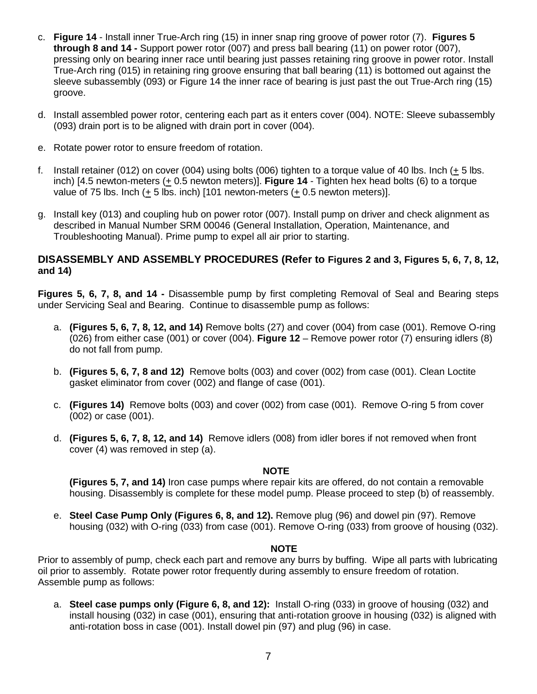- c. **Figure 14** Install inner True-Arch ring (15) in inner snap ring groove of power rotor (7). **Figures 5 through 8 and 14 -** Support power rotor (007) and press ball bearing (11) on power rotor (007), pressing only on bearing inner race until bearing just passes retaining ring groove in power rotor. Install True-Arch ring (015) in retaining ring groove ensuring that ball bearing (11) is bottomed out against the sleeve subassembly (093) or Figure 14 the inner race of bearing is just past the out True-Arch ring (15) groove.
- d. Install assembled power rotor, centering each part as it enters cover (004). NOTE: Sleeve subassembly (093) drain port is to be aligned with drain port in cover (004).
- e. Rotate power rotor to ensure freedom of rotation.
- f. Install retainer (012) on cover (004) using bolts (006) tighten to a torque value of 40 lbs. Inch (+ 5 lbs. inch) [4.5 newton-meters (+ 0.5 newton meters)]. **Figure 14** - Tighten hex head bolts (6) to a torque value of 75 lbs. Inch (+ 5 lbs. inch) [101 newton-meters (+ 0.5 newton meters)].
- g. Install key (013) and coupling hub on power rotor (007). Install pump on driver and check alignment as described in Manual Number SRM 00046 (General Installation, Operation, Maintenance, and Troubleshooting Manual). Prime pump to expel all air prior to starting.

#### **DISASSEMBLY AND ASSEMBLY PROCEDURES (Refer to Figures 2 and 3, Figures 5, 6, 7, 8, 12, and 14)**

**Figures 5, 6, 7, 8, and 14 -** Disassemble pump by first completing Removal of Seal and Bearing steps under Servicing Seal and Bearing. Continue to disassemble pump as follows:

- a. **(Figures 5, 6, 7, 8, 12, and 14)** Remove bolts (27) and cover (004) from case (001). Remove O-ring (026) from either case (001) or cover (004). **Figure 12** – Remove power rotor (7) ensuring idlers (8) do not fall from pump.
- b. **(Figures 5, 6, 7, 8 and 12)** Remove bolts (003) and cover (002) from case (001). Clean Loctite gasket eliminator from cover (002) and flange of case (001).
- c. **(Figures 14)** Remove bolts (003) and cover (002) from case (001). Remove O-ring 5 from cover (002) or case (001).
- d. **(Figures 5, 6, 7, 8, 12, and 14)** Remove idlers (008) from idler bores if not removed when front cover (4) was removed in step (a).

#### **NOTE**

**(Figures 5, 7, and 14)** Iron case pumps where repair kits are offered, do not contain a removable housing. Disassembly is complete for these model pump. Please proceed to step (b) of reassembly.

e. **Steel Case Pump Only (Figures 6, 8, and 12).** Remove plug (96) and dowel pin (97). Remove housing (032) with O-ring (033) from case (001). Remove O-ring (033) from groove of housing (032).

#### **NOTE**

Prior to assembly of pump, check each part and remove any burrs by buffing. Wipe all parts with lubricating oil prior to assembly. Rotate power rotor frequently during assembly to ensure freedom of rotation. Assemble pump as follows:

a. **Steel case pumps only (Figure 6, 8, and 12):** Install O-ring (033) in groove of housing (032) and install housing (032) in case (001), ensuring that anti-rotation groove in housing (032) is aligned with anti-rotation boss in case (001). Install dowel pin (97) and plug (96) in case.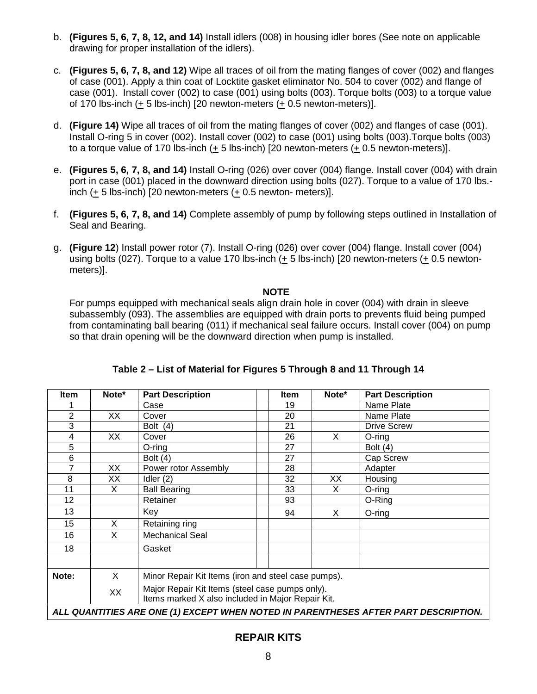- b. **(Figures 5, 6, 7, 8, 12, and 14)** Install idlers (008) in housing idler bores (See note on applicable drawing for proper installation of the idlers).
- c. **(Figures 5, 6, 7, 8, and 12)** Wipe all traces of oil from the mating flanges of cover (002) and flanges of case (001). Apply a thin coat of Locktite gasket eliminator No. 504 to cover (002) and flange of case (001). Install cover (002) to case (001) using bolts (003). Torque bolts (003) to a torque value of 170 lbs-inch  $(+ 5$  lbs-inch) [20 newton-meters  $(+ 0.5$  newton-meters)].
- d. **(Figure 14)** Wipe all traces of oil from the mating flanges of cover (002) and flanges of case (001). Install O-ring 5 in cover (002). Install cover (002) to case (001) using bolts (003).Torque bolts (003) to a torque value of 170 lbs-inch (+ 5 lbs-inch) [20 newton-meters (+ 0.5 newton-meters)].
- e. **(Figures 5, 6, 7, 8, and 14)** Install O-ring (026) over cover (004) flange. Install cover (004) with drain port in case (001) placed in the downward direction using bolts (027). Torque to a value of 170 lbs. inch  $(+ 5$  lbs-inch) [20 newton-meters  $(+ 0.5$  newton-meters)].
- f. **(Figures 5, 6, 7, 8, and 14)** Complete assembly of pump by following steps outlined in Installation of Seal and Bearing.
- g. **(Figure 12**) Install power rotor (7). Install O-ring (026) over cover (004) flange. Install cover (004) using bolts (027). Torque to a value 170 lbs-inch (+ 5 lbs-inch) [20 newton-meters (+ 0.5 newtonmeters)].

#### **NOTE**

For pumps equipped with mechanical seals align drain hole in cover (004) with drain in sleeve subassembly (093). The assemblies are equipped with drain ports to prevents fluid being pumped from contaminating ball bearing (011) if mechanical seal failure occurs. Install cover (004) on pump so that drain opening will be the downward direction when pump is installed.

| Item                                                                                | Note*    | <b>Part Description</b>                                                                              | <b>Item</b> | Note* | <b>Part Description</b> |
|-------------------------------------------------------------------------------------|----------|------------------------------------------------------------------------------------------------------|-------------|-------|-------------------------|
|                                                                                     |          | Case                                                                                                 | 19          |       | Name Plate              |
| $\overline{2}$                                                                      | XX.      | Cover                                                                                                | 20          |       | Name Plate              |
| 3                                                                                   |          | Bolt (4)                                                                                             | 21          |       | <b>Drive Screw</b>      |
| 4                                                                                   | XX.      | Cover                                                                                                | 26          | X     | $O$ -ring               |
| 5                                                                                   |          | $O$ -ring                                                                                            | 27          |       | Bolt $(4)$              |
| 6                                                                                   |          | Bolt $(4)$                                                                                           | 27          |       | Cap Screw               |
| 7                                                                                   | XX       | Power rotor Assembly                                                                                 | 28          |       | Adapter                 |
| 8                                                                                   | XX       | Idler $(2)$                                                                                          | 32          | ХX    | Housing                 |
| 11                                                                                  | X        | <b>Ball Bearing</b>                                                                                  | 33          | X     | $O$ -ring               |
| 12                                                                                  |          | Retainer                                                                                             | 93          |       | O-Ring                  |
| 13                                                                                  |          | Key                                                                                                  | 94          | X.    | $O$ -ring               |
| 15                                                                                  | X        | Retaining ring                                                                                       |             |       |                         |
| 16                                                                                  | X        | <b>Mechanical Seal</b>                                                                               |             |       |                         |
| 18                                                                                  |          | Gasket                                                                                               |             |       |                         |
|                                                                                     |          |                                                                                                      |             |       |                         |
| Note:                                                                               | $\times$ | Minor Repair Kit Items (iron and steel case pumps).                                                  |             |       |                         |
|                                                                                     | XX       | Major Repair Kit Items (steel case pumps only).<br>Items marked X also included in Major Repair Kit. |             |       |                         |
| ALL QUANTITIES ARE ONE (1) EXCEPT WHEN NOTED IN PARENTHESES AFTER PART DESCRIPTION. |          |                                                                                                      |             |       |                         |

### **Table 2 – List of Material for Figures 5 Through 8 and 11 Through 14**

### **REPAIR KITS**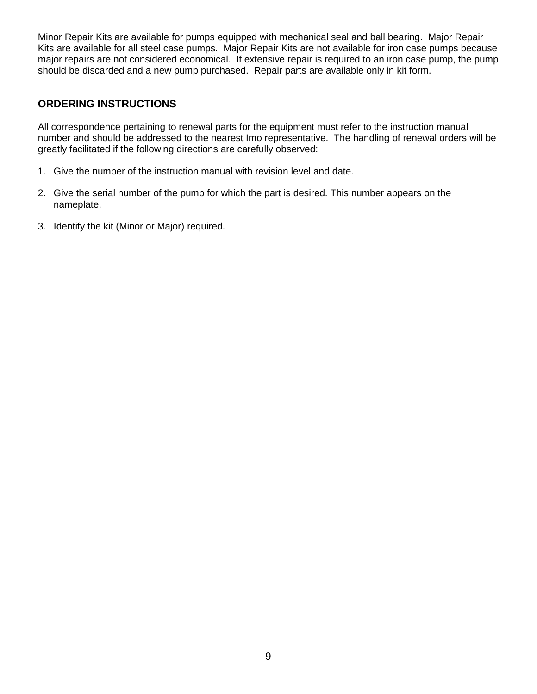Minor Repair Kits are available for pumps equipped with mechanical seal and ball bearing. Major Repair Kits are available for all steel case pumps. Major Repair Kits are not available for iron case pumps because major repairs are not considered economical. If extensive repair is required to an iron case pump, the pump should be discarded and a new pump purchased. Repair parts are available only in kit form.

### **ORDERING INSTRUCTIONS**

All correspondence pertaining to renewal parts for the equipment must refer to the instruction manual number and should be addressed to the nearest Imo representative. The handling of renewal orders will be greatly facilitated if the following directions are carefully observed:

- 1. Give the number of the instruction manual with revision level and date.
- 2. Give the serial number of the pump for which the part is desired. This number appears on the nameplate.
- 3. Identify the kit (Minor or Major) required.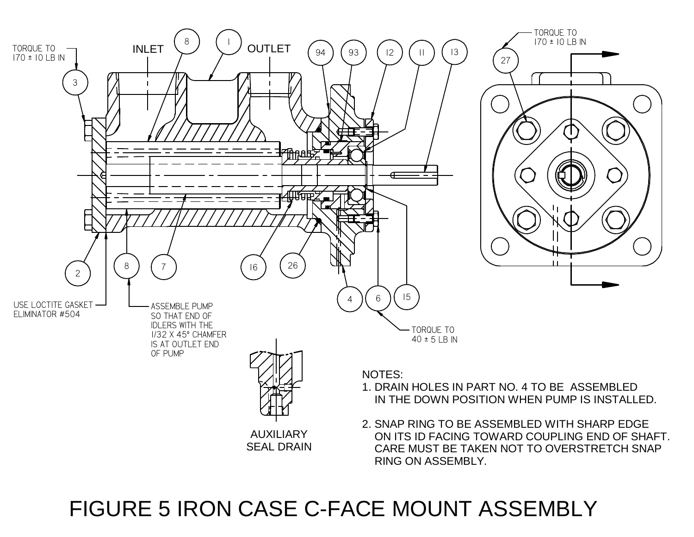

# FIGURE 5 IRON CASE C-FACE MOUNT ASSEMBLY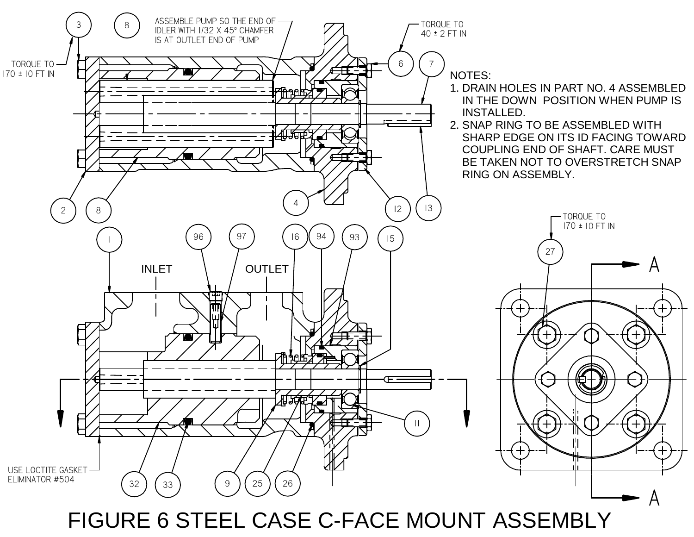

FIGURE 6 STEEL CASE C-FACE MOUNT ASSEMBLY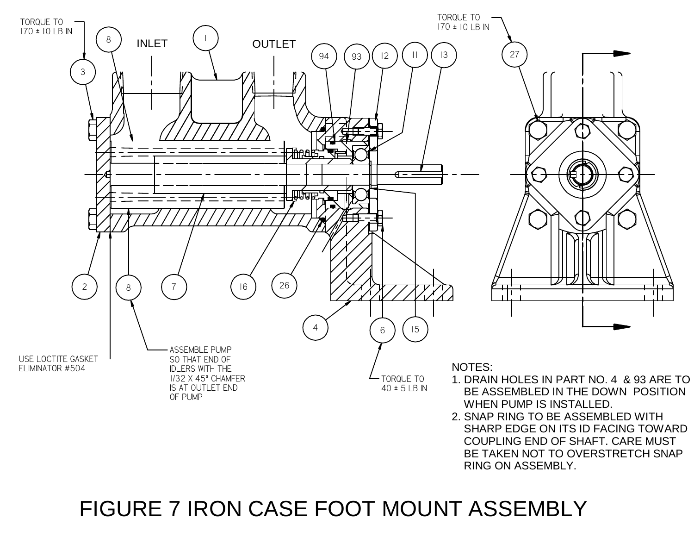

# FIGURE 7 IRON CASE FOOT MOUNT ASSEMBLY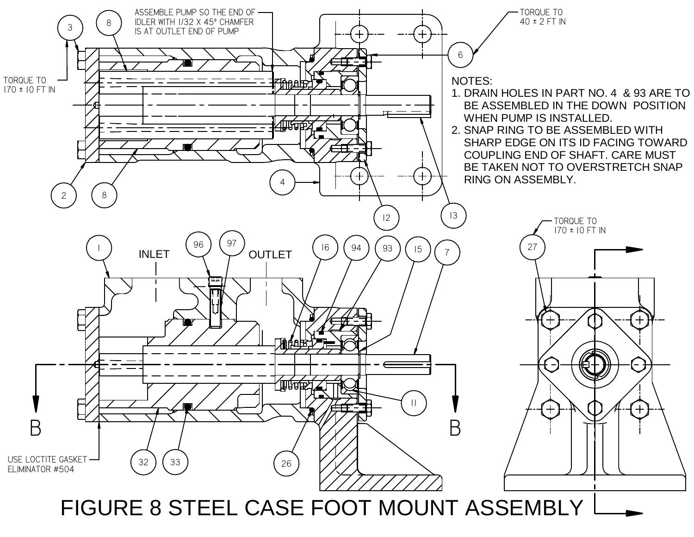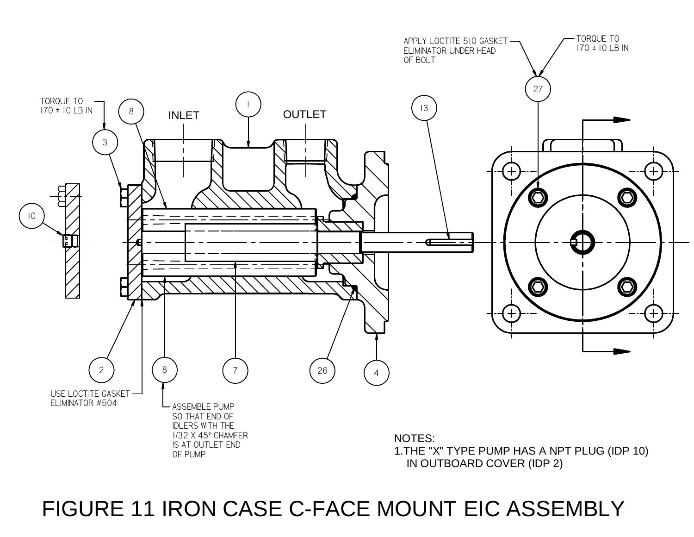# TORQUE TOAPPLY LOCTITE 510 GASKET  $170 \pm 10$  LB IN ELIMINATOR UNDER HEAD OF BOLT27 TORQUE TO<br>170 ± 10 LB IN  $\begin{pmatrix} 1 & 1 \end{pmatrix}$  and  $\begin{pmatrix} 1 & 1 \end{pmatrix}$ 138INLET**OUTLET** 3 $\bigcirc$  $\bigcap$ 10 $\bigcirc$  $\bigodot$ 7) (26 22 } | { 8 } | { 7 0) (4 USE LOCTITE GASKET ELIMINATOR #504ASSEMBLE PUMP SO THAT END OF IDLERS WITH THE1/32 X 45º CHAMFERNOTES:IS AT OUTLET END1.THE "X" TYPE PUMP HAS A NPT PLUG (IDP 10) OF PUMPIN OUTBOARD COVER (IDP 2)

# FIGURE 11 IRON CASE C-FACE MOUNT EIC ASSEMBLY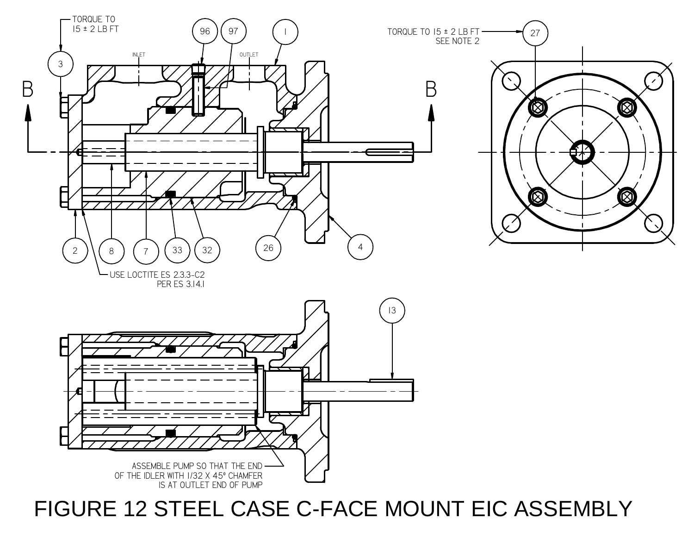

27 SEE NOTE 2  $\bigcirc$  $\bigcirc \!\!\!\! \bigcirc$ ₹∕  $\bigcircledR$  $\circledR$ 

# FIGURE 12 STEEL CASE C-FACE MOUNT EIC ASSEMBLY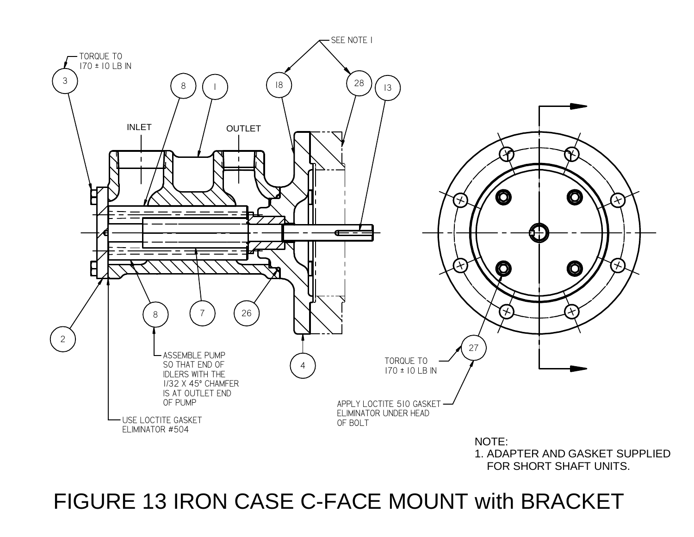

FIGURE 13 IRON CASE C-FACE MOUNT with BRACKET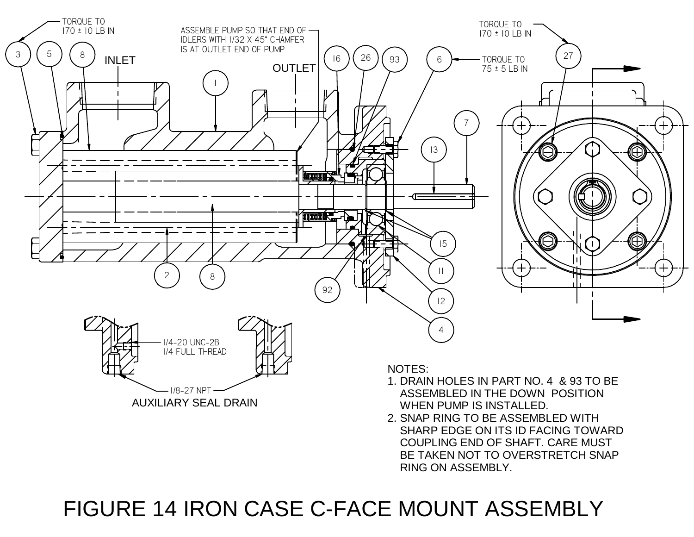

# FIGURE 14 IRON CASE C-FACE MOUNT ASSEMBLY